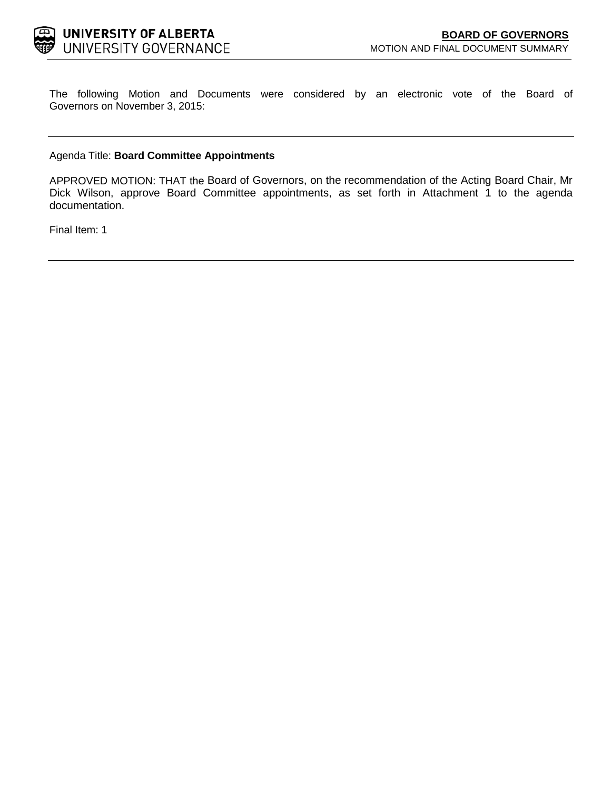

The following Motion and Documents were considered by an electronic vote of the Board of Governors on November 3, 2015:

## Agenda Title: **Board Committee Appointments**

APPROVED MOTION: THAT the Board of Governors, on the recommendation of the Acting Board Chair, Mr Dick Wilson, approve Board Committee appointments, as set forth in Attachment 1 to the agenda documentation.

Final Item: [1](#page-1-0)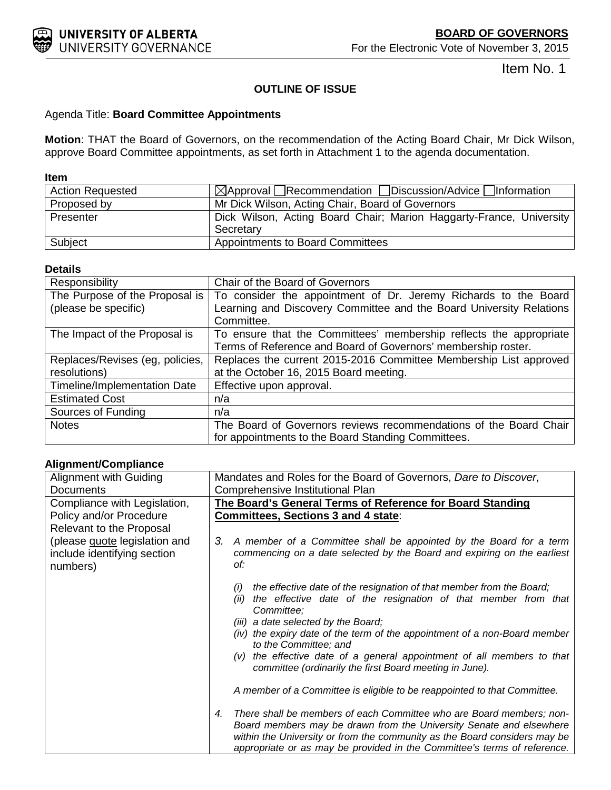<span id="page-1-0"></span>

Item No. 1

# **OUTLINE OF ISSUE**

# Agenda Title: **Board Committee Appointments**

**Motion**: THAT the Board of Governors, on the recommendation of the Acting Board Chair, Mr Dick Wilson, approve Board Committee appointments, as set forth in Attachment 1 to the agenda documentation.

## **Item**

| <b>Action Requested</b> | $\boxtimes$ Approval Recommendation Discussion/Advice Information   |
|-------------------------|---------------------------------------------------------------------|
| Proposed by             | Mr Dick Wilson, Acting Chair, Board of Governors                    |
| Presenter               | Dick Wilson, Acting Board Chair; Marion Haggarty-France, University |
|                         | Secretary                                                           |
| Subject                 | <b>Appointments to Board Committees</b>                             |

## **Details**

| Responsibility                  | Chair of the Board of Governors                                     |
|---------------------------------|---------------------------------------------------------------------|
| The Purpose of the Proposal is  | To consider the appointment of Dr. Jeremy Richards to the Board     |
| (please be specific)            | Learning and Discovery Committee and the Board University Relations |
|                                 | Committee.                                                          |
| The Impact of the Proposal is   | To ensure that the Committees' membership reflects the appropriate  |
|                                 | Terms of Reference and Board of Governors' membership roster.       |
| Replaces/Revises (eg, policies, | Replaces the current 2015-2016 Committee Membership List approved   |
| resolutions)                    | at the October 16, 2015 Board meeting.                              |
| Timeline/Implementation Date    | Effective upon approval.                                            |
| <b>Estimated Cost</b>           | n/a                                                                 |
| Sources of Funding              | n/a                                                                 |
| <b>Notes</b>                    | The Board of Governors reviews recommendations of the Board Chair   |
|                                 | for appointments to the Board Standing Committees.                  |

# **Alignment/Compliance**

| Alignment with Guiding                                                   | Mandates and Roles for the Board of Governors, Dare to Discover,                                                                                                                                                                                                                                           |
|--------------------------------------------------------------------------|------------------------------------------------------------------------------------------------------------------------------------------------------------------------------------------------------------------------------------------------------------------------------------------------------------|
| <b>Documents</b>                                                         | Comprehensive Institutional Plan                                                                                                                                                                                                                                                                           |
| Compliance with Legislation,                                             | The Board's General Terms of Reference for Board Standing                                                                                                                                                                                                                                                  |
| Policy and/or Procedure                                                  | Committees, Sections 3 and 4 state:                                                                                                                                                                                                                                                                        |
| Relevant to the Proposal                                                 |                                                                                                                                                                                                                                                                                                            |
| (please quote legislation and<br>include identifying section<br>numbers) | A member of a Committee shall be appointed by the Board for a term<br>З.<br>commencing on a date selected by the Board and expiring on the earliest<br>of:                                                                                                                                                 |
|                                                                          | the effective date of the resignation of that member from the Board;<br>(i)<br>the effective date of the resignation of that member from that<br>(ii)<br>Committee:                                                                                                                                        |
|                                                                          | (iii) a date selected by the Board;<br>(iv) the expiry date of the term of the appointment of a non-Board member<br>to the Committee; and                                                                                                                                                                  |
|                                                                          | (v) the effective date of a general appointment of all members to that<br>committee (ordinarily the first Board meeting in June).                                                                                                                                                                          |
|                                                                          | A member of a Committee is eligible to be reappointed to that Committee.                                                                                                                                                                                                                                   |
|                                                                          | There shall be members of each Committee who are Board members; non-<br>4.<br>Board members may be drawn from the University Senate and elsewhere<br>within the University or from the community as the Board considers may be<br>appropriate or as may be provided in the Committee's terms of reference. |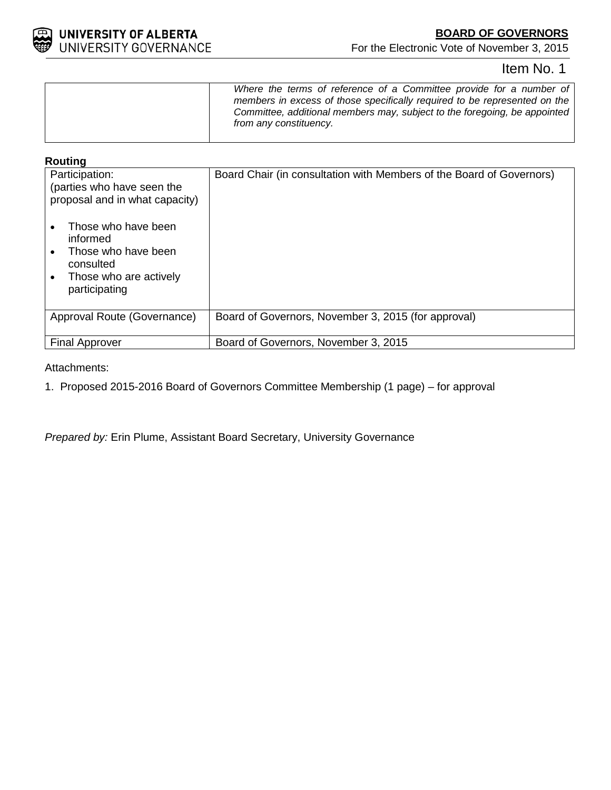

For the Electronic Vote of November 3, 2015

# Item No. 1

# **Routing**

| Participation:<br>(parties who have seen the<br>proposal and in what capacity)                                 | Board Chair (in consultation with Members of the Board of Governors) |
|----------------------------------------------------------------------------------------------------------------|----------------------------------------------------------------------|
| Those who have been<br>informed<br>Those who have been<br>consulted<br>Those who are actively<br>participating |                                                                      |
| Approval Route (Governance)                                                                                    | Board of Governors, November 3, 2015 (for approval)                  |
| <b>Final Approver</b>                                                                                          | Board of Governors, November 3, 2015                                 |

# Attachments:

1. Proposed 2015-2016 Board of Governors Committee Membership (1 page) – for approval

*Prepared by:* Erin Plume, Assistant Board Secretary, University Governance